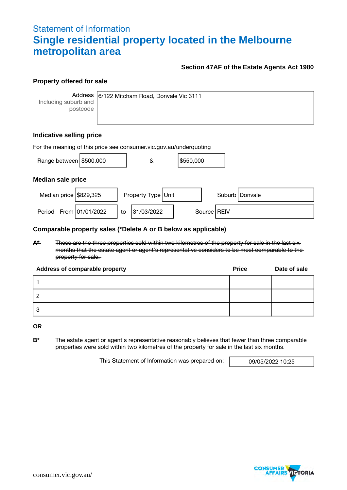# Statement of Information **Single residential property located in the Melbourne metropolitan area**

### **Section 47AF of the Estate Agents Act 1980**

#### **Property offered for sale**

Including suburb and postcode

Address 6/122 Mitcham Road, Donvale Vic 3111

## **Indicative selling price**

| For the meaning of this price see consumer vic gov au/underquoting |  |    |                    |  |           |  |               |                  |
|--------------------------------------------------------------------|--|----|--------------------|--|-----------|--|---------------|------------------|
| Range between \$500,000                                            |  |    | &                  |  | \$550,000 |  |               |                  |
| <b>Median sale price</b>                                           |  |    |                    |  |           |  |               |                  |
| Median price $\frac{1}{3}829,325$                                  |  |    | Property Type Unit |  |           |  |               | Suburb   Donvale |
| Period - From 01/01/2022                                           |  | to | 31/03/2022         |  |           |  | Source   REIV |                  |

#### **Comparable property sales (\*Delete A or B below as applicable)**

**A\*** These are the three properties sold within two kilometres of the property for sale in the last six months that the estate agent or agent's representative considers to be most comparable to the property for sale.

| Address of comparable property | <b>Price</b> | Date of sale |
|--------------------------------|--------------|--------------|
|                                |              |              |
|                                |              |              |
|                                |              |              |

**OR**

**B\*** The estate agent or agent's representative reasonably believes that fewer than three comparable properties were sold within two kilometres of the property for sale in the last six months.

This Statement of Information was prepared on: 09/05/2022 10:25